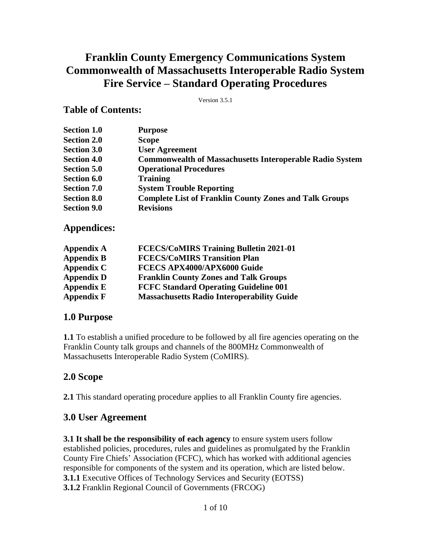# **Franklin County Emergency Communications System Commonwealth of Massachusetts Interoperable Radio System Fire Service – Standard Operating Procedures**

Version 3.5.1

### **Table of Contents:**

| <b>Section 1.0</b> | <b>Purpose</b>                                                  |
|--------------------|-----------------------------------------------------------------|
| <b>Section 2.0</b> | <b>Scope</b>                                                    |
| <b>Section 3.0</b> | <b>User Agreement</b>                                           |
| <b>Section 4.0</b> | <b>Commonwealth of Massachusetts Interoperable Radio System</b> |
| <b>Section 5.0</b> | <b>Operational Procedures</b>                                   |
| <b>Section 6.0</b> | <b>Training</b>                                                 |
| <b>Section 7.0</b> | <b>System Trouble Reporting</b>                                 |
| <b>Section 8.0</b> | <b>Complete List of Franklin County Zones and Talk Groups</b>   |
| <b>Section 9.0</b> | <b>Revisions</b>                                                |

## **Appendices:**

| <b>Appendix A</b> | <b>FCECS/CoMIRS Training Bulletin 2021-01</b>     |
|-------------------|---------------------------------------------------|
| <b>Appendix B</b> | <b>FCECS/CoMIRS Transition Plan</b>               |
| Appendix C        | FCECS APX4000/APX6000 Guide                       |
| <b>Appendix D</b> | <b>Franklin County Zones and Talk Groups</b>      |
| <b>Appendix E</b> | <b>FCFC Standard Operating Guideline 001</b>      |
| <b>Appendix F</b> | <b>Massachusetts Radio Interoperability Guide</b> |

#### **1.0 Purpose**

**1.1** To establish a unified procedure to be followed by all fire agencies operating on the Franklin County talk groups and channels of the 800MHz Commonwealth of Massachusetts Interoperable Radio System (CoMIRS).

## **2.0 Scope**

**2.1** This standard operating procedure applies to all Franklin County fire agencies.

## **3.0 User Agreement**

**3.1 It shall be the responsibility of each agency** to ensure system users follow established policies, procedures, rules and guidelines as promulgated by the Franklin County Fire Chiefs' Association (FCFC), which has worked with additional agencies responsible for components of the system and its operation, which are listed below. **3.1.1** Executive Offices of Technology Services and Security (EOTSS) **3.1.2** Franklin Regional Council of Governments (FRCOG)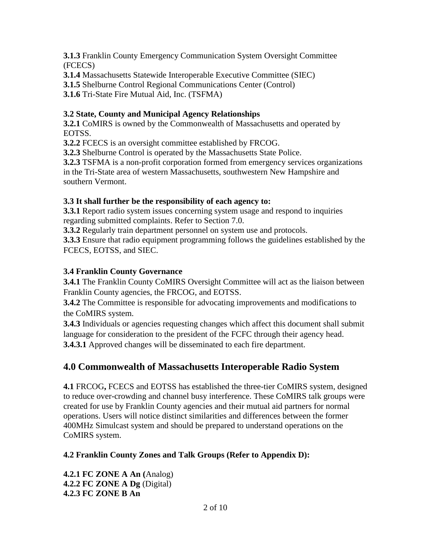**3.1.3** Franklin County Emergency Communication System Oversight Committee (FCECS)

**3.1.4** Massachusetts Statewide Interoperable Executive Committee (SIEC)

**3.1.5** Shelburne Control Regional Communications Center (Control)

**3.1.6** Tri-State Fire Mutual Aid, Inc. (TSFMA)

#### **3.2 State, County and Municipal Agency Relationships**

**3.2.1** CoMIRS is owned by the Commonwealth of Massachusetts and operated by EOTSS.

**3.2.2** FCECS is an oversight committee established by FRCOG.

**3.2.3** Shelburne Control is operated by the Massachusetts State Police.

**3.2.3** TSFMA is a non-profit corporation formed from emergency services organizations in the Tri-State area of western Massachusetts, southwestern New Hampshire and southern Vermont.

### **3.3 It shall further be the responsibility of each agency to:**

**3.3.1** Report radio system issues concerning system usage and respond to inquiries regarding submitted complaints. Refer to Section 7.0.

**3.3.2** Regularly train department personnel on system use and protocols.

**3.3.3** Ensure that radio equipment programming follows the guidelines established by the FCECS, EOTSS, and SIEC.

#### **3.4 Franklin County Governance**

**3.4.1** The Franklin County CoMIRS Oversight Committee will act as the liaison between Franklin County agencies, the FRCOG, and EOTSS.

**3.4.2** The Committee is responsible for advocating improvements and modifications to the CoMIRS system.

**3.4.3** Individuals or agencies requesting changes which affect this document shall submit language for consideration to the president of the FCFC through their agency head. **3.4.3.1** Approved changes will be disseminated to each fire department.

## **4.0 Commonwealth of Massachusetts Interoperable Radio System**

**4.1** FRCOG**,** FCECS and EOTSS has established the three-tier CoMIRS system, designed to reduce over-crowding and channel busy interference. These CoMIRS talk groups were created for use by Franklin County agencies and their mutual aid partners for normal operations. Users will notice distinct similarities and differences between the former 400MHz Simulcast system and should be prepared to understand operations on the CoMIRS system.

#### **4.2 Franklin County Zones and Talk Groups (Refer to Appendix D):**

**4.2.1 FC ZONE A An (**Analog) **4.2.2 FC ZONE A Dg** (Digital) **4.2.3 FC ZONE B An**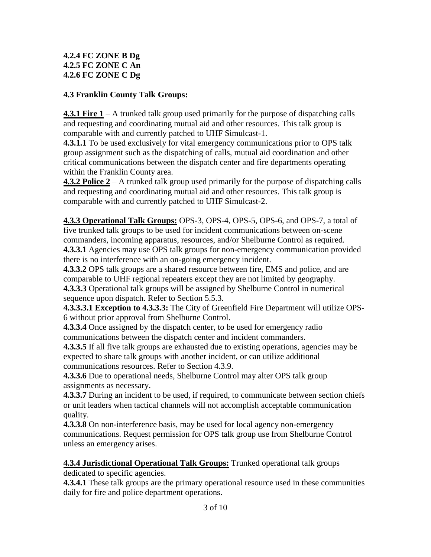#### **4.2.4 FC ZONE B Dg 4.2.5 FC ZONE C An 4.2.6 FC ZONE C Dg**

#### **4.3 Franklin County Talk Groups:**

**4.3.1 Fire 1** – A trunked talk group used primarily for the purpose of dispatching calls and requesting and coordinating mutual aid and other resources. This talk group is comparable with and currently patched to UHF Simulcast-1.

**4.3.1.1** To be used exclusively for vital emergency communications prior to OPS talk group assignment such as the dispatching of calls, mutual aid coordination and other critical communications between the dispatch center and fire departments operating within the Franklin County area.

**4.3.2 Police 2** – A trunked talk group used primarily for the purpose of dispatching calls and requesting and coordinating mutual aid and other resources. This talk group is comparable with and currently patched to UHF Simulcast-2.

**4.3.3 Operational Talk Groups:** OPS-3, OPS-4, OPS-5, OPS-6, and OPS-7, a total of five trunked talk groups to be used for incident communications between on-scene commanders, incoming apparatus, resources, and/or Shelburne Control as required.

**4.3.3.1** Agencies may use OPS talk groups for non-emergency communication provided there is no interference with an on-going emergency incident.

**4.3.3.2** OPS talk groups are a shared resource between fire, EMS and police, and are comparable to UHF regional repeaters except they are not limited by geography.

**4.3.3.3** Operational talk groups will be assigned by Shelburne Control in numerical sequence upon dispatch. Refer to Section 5.5.3.

**4.3.3.3.1 Exception to 4.3.3.3:** The City of Greenfield Fire Department will utilize OPS-6 without prior approval from Shelburne Control.

**4.3.3.4** Once assigned by the dispatch center, to be used for emergency radio communications between the dispatch center and incident commanders.

**4.3.3.5** If all five talk groups are exhausted due to existing operations, agencies may be expected to share talk groups with another incident, or can utilize additional communications resources. Refer to Section 4.3.9.

**4.3.3.6** Due to operational needs, Shelburne Control may alter OPS talk group assignments as necessary.

**4.3.3.7** During an incident to be used, if required, to communicate between section chiefs or unit leaders when tactical channels will not accomplish acceptable communication quality.

**4.3.3.8** On non-interference basis, may be used for local agency non-emergency communications. Request permission for OPS talk group use from Shelburne Control unless an emergency arises.

**4.3.4 Jurisdictional Operational Talk Groups:** Trunked operational talk groups dedicated to specific agencies.

**4.3.4.1** These talk groups are the primary operational resource used in these communities daily for fire and police department operations.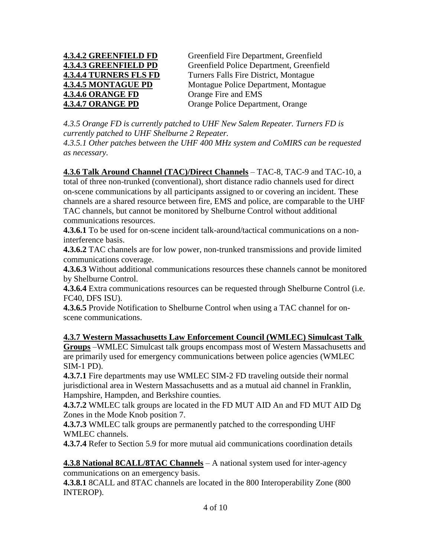| <b>4.3.4.2 GREENFIELD FD</b>  |
|-------------------------------|
| <b>4.3.4.3 GREENFIELD PD</b>  |
| <b>4.3.4.4 TURNERS FLS FD</b> |
| <b>4.3.4.5 MONTAGUE PD</b>    |
| <b>4.3.4.6 ORANGE FD</b>      |
| <b>4.3.4.7 ORANGE PD</b>      |

Greenfield Fire Department, Greenfield **Greenfield Police Department, Greenfield 4.3.4.4 TURNERS FLS FD** Turners Falls Fire District, Montague Montague Police Department, Montague **Orange Fire and EMS Orange Police Department, Orange** 

*4.3.5 Orange FD is currently patched to UHF New Salem Repeater. Turners FD is currently patched to UHF Shelburne 2 Repeater.*

*4.3.5.1 Other patches between the UHF 400 MHz system and CoMIRS can be requested as necessary.*

**4.3.6 Talk Around Channel (TAC)/Direct Channels** – TAC-8, TAC-9 and TAC-10, a total of three non-trunked (conventional), short distance radio channels used for direct on-scene communications by all participants assigned to or covering an incident. These channels are a shared resource between fire, EMS and police, are comparable to the UHF TAC channels, but cannot be monitored by Shelburne Control without additional communications resources.

**4.3.6.1** To be used for on-scene incident talk-around/tactical communications on a noninterference basis.

**4.3.6.2** TAC channels are for low power, non-trunked transmissions and provide limited communications coverage.

**4.3.6.3** Without additional communications resources these channels cannot be monitored by Shelburne Control.

**4.3.6.4** Extra communications resources can be requested through Shelburne Control (i.e. FC40, DFS ISU).

**4.3.6.5** Provide Notification to Shelburne Control when using a TAC channel for onscene communications.

**4.3.7 Western Massachusetts Law Enforcement Council (WMLEC) Simulcast Talk Groups** –WMLEC Simulcast talk groups encompass most of Western Massachusetts and are primarily used for emergency communications between police agencies (WMLEC SIM-1 PD).

**4.3.7.1** Fire departments may use WMLEC SIM-2 FD traveling outside their normal jurisdictional area in Western Massachusetts and as a mutual aid channel in Franklin, Hampshire, Hampden, and Berkshire counties.

**4.3.7.2** WMLEC talk groups are located in the FD MUT AID An and FD MUT AID Dg Zones in the Mode Knob position 7.

**4.3.7.3** WMLEC talk groups are permanently patched to the corresponding UHF WMLEC channels.

**4.3.7.4** Refer to Section 5.9 for more mutual aid communications coordination details

**4.3.8 National 8CALL/8TAC Channels** – A national system used for inter-agency communications on an emergency basis.

**4.3.8.1** 8CALL and 8TAC channels are located in the 800 Interoperability Zone (800 INTEROP).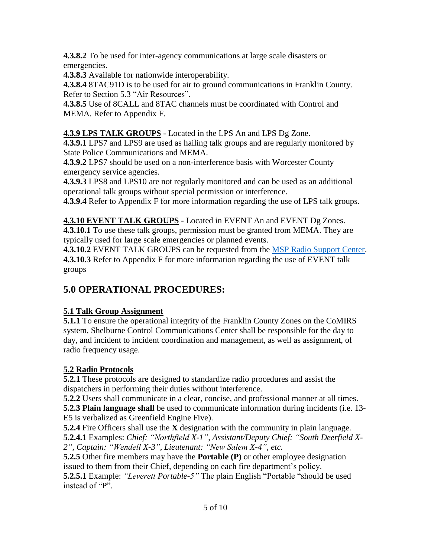**4.3.8.2** To be used for inter-agency communications at large scale disasters or emergencies.

**4.3.8.3** Available for nationwide interoperability.

**4.3.8.4** 8TAC91D is to be used for air to ground communications in Franklin County. Refer to Section 5.3 "Air Resources".

**4.3.8.5** Use of 8CALL and 8TAC channels must be coordinated with Control and MEMA. Refer to Appendix F.

## **4.3.9 LPS TALK GROUPS** - Located in the LPS An and LPS Dg Zone.

**4.3.9.1** LPS7 and LPS9 are used as hailing talk groups and are regularly monitored by State Police Communications and MEMA.

**4.3.9.2** LPS7 should be used on a non-interference basis with Worcester County emergency service agencies.

**4.3.9.3** LPS8 and LPS10 are not regularly monitored and can be used as an additional operational talk groups without special permission or interference.

**4.3.9.4** Refer to Appendix F for more information regarding the use of LPS talk groups.

## **4.3.10 EVENT TALK GROUPS** - Located in EVENT An and EVENT Dg Zones.

**4.3.10.1** To use these talk groups, permission must be granted from MEMA. They are typically used for large scale emergencies or planned events.

**4.3.10.2** EVENT TALK GROUPS can be requested from the [MSP Radio Support Center.](https://www.mspradio.net/index.php) **4.3.10.3** Refer to Appendix F for more information regarding the use of EVENT talk groups

# **5.0 OPERATIONAL PROCEDURES:**

## **5.1 Talk Group Assignment**

**5.1.1** To ensure the operational integrity of the Franklin County Zones on the CoMIRS system, Shelburne Control Communications Center shall be responsible for the day to day, and incident to incident coordination and management, as well as assignment, of radio frequency usage.

## **5.2 Radio Protocols**

**5.2.1** These protocols are designed to standardize radio procedures and assist the dispatchers in performing their duties without interference.

**5.2.2** Users shall communicate in a clear, concise, and professional manner at all times.

**5.2.3 Plain language shall** be used to communicate information during incidents (i.e. 13- E5 is verbalized as Greenfield Engine Five).

**5.2.4** Fire Officers shall use the **X** designation with the community in plain language.

**5.2.4.1** Examples: *Chief: "Northfield X-1", Assistant/Deputy Chief: "South Deerfield X-2", Captain: "Wendell X-3", Lieutenant: "New Salem X-4", etc.*

**5.2.5** Other fire members may have the **Portable (P)** or other employee designation issued to them from their Chief, depending on each fire department's policy.

**5.2.5.1** Example: *"Leverett Portable-5"* The plain English "Portable "should be used instead of "P".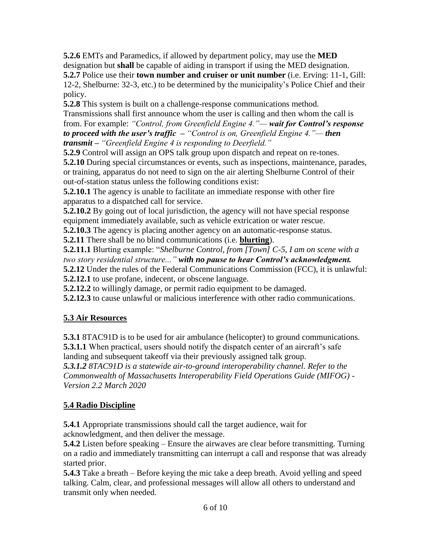**5.2.6** EMTs and Paramedics, if allowed by department policy, may use the **MED** designation but **shall** be capable of aiding in transport if using the MED designation. **5.2.7** Police use their **town number and cruiser or unit number** (i.e. Erving: 11-1, Gill: 12-2, Shelburne: 32-3, etc.) to be determined by the municipality's Police Chief and their policy.

**5.2.8** This system is built on a challenge-response communications method.

Transmissions shall first announce whom the user is calling and then whom the call is from. For example: *"Control, from Greenfield Engine 4."— wait for Control's response to proceed with the user's traffic – "Control is on, Greenfield Engine 4."— then transmit – "Greenfield Engine 4 is responding to Deerfield."*

**5.2.9** Control will assign an OPS talk group upon dispatch and repeat on re-tones.

**5.2.10** During special circumstances or events, such as inspections, maintenance, parades, or training, apparatus do not need to sign on the air alerting Shelburne Control of their out-of-station status unless the following conditions exist:

**5.2.10.1** The agency is unable to facilitate an immediate response with other fire apparatus to a dispatched call for service.

**5.2.10.2** By going out of local jurisdiction, the agency will not have special response equipment immediately available, such as vehicle extrication or water rescue.

**5.2.10.3** The agency is placing another agency on an automatic-response status.

**5.2.11** There shall be no blind communications (i.e. **blurting**).

**5.2.11.1** Blurting example: "*Shelburne Control, from [Town] C-5, I am on scene with a two story residential structure..." with no pause to hear Control's acknowledgment.*

**5.2.12** Under the rules of the Federal Communications Commission (FCC), it is unlawful:

**5.2.12.1** to use profane, indecent, or obscene language.

**5.2.12.2** to willingly damage, or permit radio equipment to be damaged.

**5.2.12.3** to cause unlawful or malicious interference with other radio communications.

#### **5.3 Air Resources**

**5.3.1** 8TAC91D is to be used for air ambulance (helicopter) to ground communications. **5.3.1.1** When practical, users should notify the dispatch center of an aircraft's safe landing and subsequent takeoff via their previously assigned talk group.

*5.3.1.2 8TAC91D is a statewide air-to-ground interoperability channel. Refer to the Commonwealth of Massachusetts Interoperability Field Operations Guide (MIFOG) - Version 2.2 March 2020*

## **5.4 Radio Discipline**

**5.4.1** Appropriate transmissions should call the target audience, wait for acknowledgment, and then deliver the message.

**5.4.2** Listen before speaking – Ensure the airwaves are clear before transmitting. Turning on a radio and immediately transmitting can interrupt a call and response that was already started prior.

**5.4.3** Take a breath – Before keying the mic take a deep breath. Avoid yelling and speed talking. Calm, clear, and professional messages will allow all others to understand and transmit only when needed.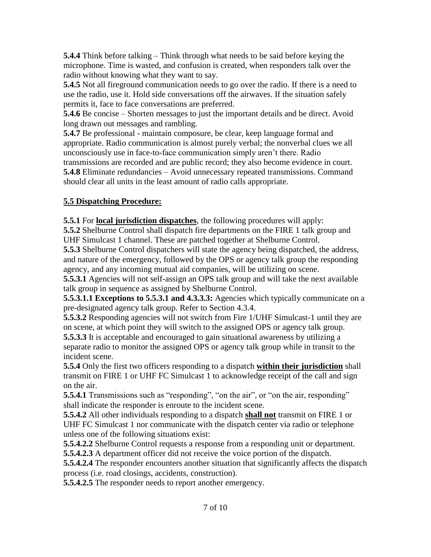**5.4.4** Think before talking – Think through what needs to be said before keying the microphone. Time is wasted, and confusion is created, when responders talk over the radio without knowing what they want to say.

**5.4.5** Not all fireground communication needs to go over the radio. If there is a need to use the radio, use it. Hold side conversations off the airwaves. If the situation safely permits it, face to face conversations are preferred.

**5.4.6** Be concise – Shorten messages to just the important details and be direct. Avoid long drawn out messages and rambling.

**5.4.7** Be professional - maintain composure, be clear, keep language formal and appropriate. Radio communication is almost purely verbal; the nonverbal clues we all unconsciously use in face-to-face communication simply aren't there. Radio transmissions are recorded and are public record; they also become evidence in court.

**5.4.8** Eliminate redundancies – Avoid unnecessary repeated transmissions. Command should clear all units in the least amount of radio calls appropriate.

## **5.5 Dispatching Procedure:**

**5.5.1** For **local jurisdiction dispatches**, the following procedures will apply:

**5.5.2** Shelburne Control shall dispatch fire departments on the FIRE 1 talk group and UHF Simulcast 1 channel. These are patched together at Shelburne Control.

**5.5.3** Shelburne Control dispatchers will state the agency being dispatched, the address, and nature of the emergency, followed by the OPS or agency talk group the responding agency, and any incoming mutual aid companies, will be utilizing on scene.

**5.5.3.1** Agencies will not self-assign an OPS talk group and will take the next available talk group in sequence as assigned by Shelburne Control.

**5.5.3.1.1 Exceptions to 5.5.3.1 and 4.3.3.3:** Agencies which typically communicate on a pre-designated agency talk group. Refer to Section 4.3.4.

**5.5.3.2** Responding agencies will not switch from Fire 1/UHF Simulcast-1 until they are on scene, at which point they will switch to the assigned OPS or agency talk group.

**5.5.3.3** It is acceptable and encouraged to gain situational awareness by utilizing a separate radio to monitor the assigned OPS or agency talk group while in transit to the incident scene.

**5.5.4** Only the first two officers responding to a dispatch **within their jurisdiction** shall transmit on FIRE 1 or UHF FC Simulcast 1 to acknowledge receipt of the call and sign on the air.

**5.5.4.1** Transmissions such as "responding", "on the air", or "on the air, responding" shall indicate the responder is enroute to the incident scene.

**5.5.4.2** All other individuals responding to a dispatch **shall not** transmit on FIRE 1 or UHF FC Simulcast 1 nor communicate with the dispatch center via radio or telephone unless one of the following situations exist:

**5.5.4.2.2** Shelburne Control requests a response from a responding unit or department.

**5.5.4.2.3** A department officer did not receive the voice portion of the dispatch.

**5.5.4.2.4** The responder encounters another situation that significantly affects the dispatch process (i.e. road closings, accidents, construction).

**5.5.4.2.5** The responder needs to report another emergency.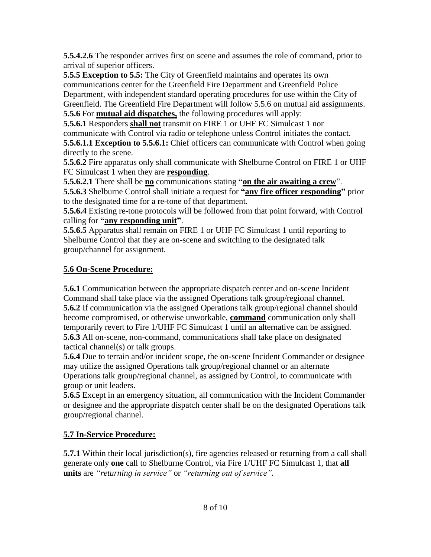**5.5.4.2.6** The responder arrives first on scene and assumes the role of command, prior to arrival of superior officers.

**5.5.5 Exception to 5.5:** The City of Greenfield maintains and operates its own communications center for the Greenfield Fire Department and Greenfield Police Department, with independent standard operating procedures for use within the City of Greenfield. The Greenfield Fire Department will follow 5.5.6 on mutual aid assignments. **5.5.6** For **mutual aid dispatches,** the following procedures will apply:

**5.5.6.1** Responders **shall not** transmit on FIRE 1 or UHF FC Simulcast 1 nor communicate with Control via radio or telephone unless Control initiates the contact.

**5.5.6.1.1 Exception to 5.5.6.1:** Chief officers can communicate with Control when going directly to the scene.

**5.5.6.2** Fire apparatus only shall communicate with Shelburne Control on FIRE 1 or UHF FC Simulcast 1 when they are **responding**.

**5.5.6.2.1** There shall be **no** communications stating "on the air awaiting a crew".

**5.5.6.3** Shelburne Control shall initiate a request for **"any fire officer responding"** prior to the designated time for a re-tone of that department.

**5.5.6.4** Existing re-tone protocols will be followed from that point forward, with Control calling for **"any responding unit"**.

**5.5.6.5** Apparatus shall remain on FIRE 1 or UHF FC Simulcast 1 until reporting to Shelburne Control that they are on-scene and switching to the designated talk group/channel for assignment.

## **5.6 On-Scene Procedure:**

**5.6.1** Communication between the appropriate dispatch center and on-scene Incident Command shall take place via the assigned Operations talk group/regional channel. **5.6.2** If communication via the assigned Operations talk group/regional channel should become compromised, or otherwise unworkable, **command** communication only shall temporarily revert to Fire 1/UHF FC Simulcast 1 until an alternative can be assigned. **5.6.3** All on-scene, non-command, communications shall take place on designated tactical channel(s) or talk groups.

**5.6.4** Due to terrain and/or incident scope, the on-scene Incident Commander or designee may utilize the assigned Operations talk group/regional channel or an alternate Operations talk group/regional channel, as assigned by Control, to communicate with group or unit leaders.

**5.6.5** Except in an emergency situation, all communication with the Incident Commander or designee and the appropriate dispatch center shall be on the designated Operations talk group/regional channel.

## **5.7 In-Service Procedure:**

**5.7.1** Within their local jurisdiction(s), fire agencies released or returning from a call shall generate only **one** call to Shelburne Control, via Fire 1/UHF FC Simulcast 1, that **all units** are *"returning in service"* or *"returning out of service".*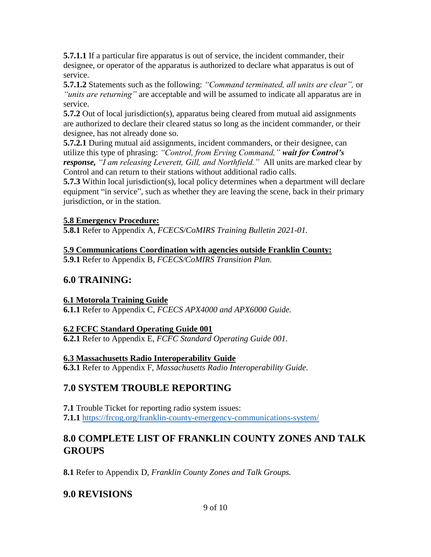**5.7.1.1** If a particular fire apparatus is out of service, the incident commander, their designee, or operator of the apparatus is authorized to declare what apparatus is out of service.

**5.7.1.2** Statements such as the following: *"Command terminated, all units are clear",* or *"units are returning"* are acceptable and will be assumed to indicate all apparatus are in service.

**5.7.2** Out of local jurisdiction(s), apparatus being cleared from mutual aid assignments are authorized to declare their cleared status so long as the incident commander, or their designee, has not already done so.

**5.7.2.1** During mutual aid assignments, incident commanders, or their designee, can utilize this type of phrasing: *"Control, from Erving Command," wait for Control's response, "I am releasing Leverett, Gill, and Northfield."* All units are marked clear by Control and can return to their stations without additional radio calls.

**5.7.3** Within local jurisdiction(s), local policy determines when a department will declare equipment "in service", such as whether they are leaving the scene, back in their primary jurisdiction, or in the station.

#### **5.8 Emergency Procedure:**

**5.8.1** Refer to Appendix A, *FCECS/CoMIRS Training Bulletin 2021-01.*

#### **5.9 Communications Coordination with agencies outside Franklin County:**

**5.9.1** Refer to Appendix B, *FCECS/CoMIRS Transition Plan.*

## **6.0 TRAINING:**

#### **6.1 Motorola Training Guide**

**6.1.1** Refer to Appendix C, *FCECS APX4000 and APX6000 Guide.*

#### **6.2 FCFC Standard Operating Guide 001**

**6.2.1** Refer to Appendix E, *FCFC Standard Operating Guide 001.*

#### **6.3 Massachusetts Radio Interoperability Guide**

**6.3.1** Refer to Appendix F, *Massachusetts Radio Interoperability Guide.*

## **7.0 SYSTEM TROUBLE REPORTING**

**7.1** Trouble Ticket for reporting radio system issues: **7.1.1** <https://frcog.org/franklin-county-emergency-communications-system/>

## **8.0 COMPLETE LIST OF FRANKLIN COUNTY ZONES AND TALK GROUPS**

**8.1** Refer to Appendix D, *Franklin County Zones and Talk Groups.*

## **9.0 REVISIONS**